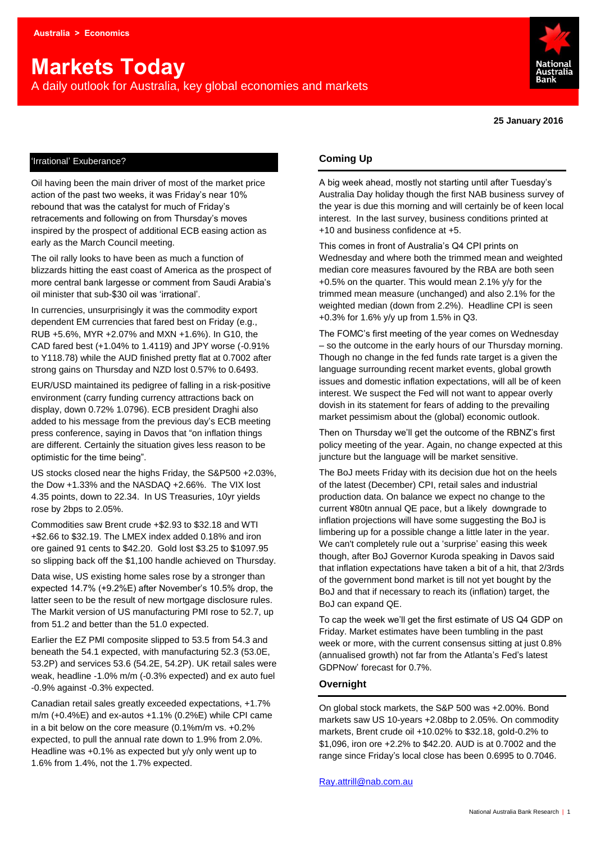# **Markets Today**

A daily outlook for Australia, key global economies and markets



**25 January 2016**

#### 'Irrational' Exuberance?

Oil having been the main driver of most of the market price action of the past two weeks, it was Friday's near 10% rebound that was the catalyst for much of Friday's retracements and following on from Thursday's moves inspired by the prospect of additional ECB easing action as early as the March Council meeting.

The oil rally looks to have been as much a function of blizzards hitting the east coast of America as the prospect of more central bank largesse or comment from Saudi Arabia's oil minister that sub-\$30 oil was 'irrational'.

In currencies, unsurprisingly it was the commodity export dependent EM currencies that fared best on Friday (e.g., RUB +5.6%, MYR +2.07% and MXN +1.6%). In G10, the CAD fared best (+1.04% to 1.4119) and JPY worse (-0.91% to Y118.78) while the AUD finished pretty flat at 0.7002 after strong gains on Thursday and NZD lost 0.57% to 0.6493.

EUR/USD maintained its pedigree of falling in a risk-positive environment (carry funding currency attractions back on display, down 0.72% 1.0796). ECB president Draghi also added to his message from the previous day's ECB meeting press conference, saying in Davos that "on inflation things are different. Certainly the situation gives less reason to be optimistic for the time being".

US stocks closed near the highs Friday, the S&P500 +2.03%, the Dow +1.33% and the NASDAQ +2.66%. The VIX lost 4.35 points, down to 22.34. In US Treasuries, 10yr yields rose by 2bps to 2.05%.

Commodities saw Brent crude +\$2.93 to \$32.18 and WTI +\$2.66 to \$32.19. The LMEX index added 0.18% and iron ore gained 91 cents to \$42.20. Gold lost \$3.25 to \$1097.95 so slipping back off the \$1,100 handle achieved on Thursday.

Data wise, US existing home sales rose by a stronger than expected 14.7% (+9.2%E) after November's 10.5% drop, the latter seen to be the result of new mortgage disclosure rules. The Markit version of US manufacturing PMI rose to 52.7, up from 51.2 and better than the 51.0 expected.

Earlier the EZ PMI composite slipped to 53.5 from 54.3 and beneath the 54.1 expected, with manufacturing 52.3 (53.0E, 53.2P) and services 53.6 (54.2E, 54.2P). UK retail sales were weak, headline -1.0% m/m (-0.3% expected) and ex auto fuel -0.9% against -0.3% expected.

Canadian retail sales greatly exceeded expectations, +1.7% m/m (+0.4%E) and ex-autos +1.1% (0.2%E) while CPI came in a bit below on the core measure (0.1%m/m vs. +0.2% expected, to pull the annual rate down to 1.9% from 2.0%. Headline was +0.1% as expected but y/y only went up to 1.6% from 1.4%, not the 1.7% expected.

#### **Coming Up**

A big week ahead, mostly not starting until after Tuesday's Australia Day holiday though the first NAB business survey of the year is due this morning and will certainly be of keen local interest. In the last survey, business conditions printed at +10 and business confidence at +5.

This comes in front of Australia's Q4 CPI prints on Wednesday and where both the trimmed mean and weighted median core measures favoured by the RBA are both seen +0.5% on the quarter. This would mean 2.1% y/y for the trimmed mean measure (unchanged) and also 2.1% for the weighted median (down from 2.2%). Headline CPI is seen +0.3% for 1.6% y/y up from 1.5% in Q3.

The FOMC's first meeting of the year comes on Wednesday – so the outcome in the early hours of our Thursday morning. Though no change in the fed funds rate target is a given the language surrounding recent market events, global growth issues and domestic inflation expectations, will all be of keen interest. We suspect the Fed will not want to appear overly dovish in its statement for fears of adding to the prevailing market pessimism about the (global) economic outlook.

Then on Thursday we'll get the outcome of the RBNZ's first policy meeting of the year. Again, no change expected at this juncture but the language will be market sensitive.

The BoJ meets Friday with its decision due hot on the heels of the latest (December) CPI, retail sales and industrial production data. On balance we expect no change to the current ¥80tn annual QE pace, but a likely downgrade to inflation projections will have some suggesting the BoJ is limbering up for a possible change a little later in the year. We can't completely rule out a 'surprise' easing this week though, after BoJ Governor Kuroda speaking in Davos said that inflation expectations have taken a bit of a hit, that 2/3rds of the government bond market is till not yet bought by the BoJ and that if necessary to reach its (inflation) target, the BoJ can expand QE.

To cap the week we'll get the first estimate of US Q4 GDP on Friday. Market estimates have been tumbling in the past week or more, with the current consensus sitting at just 0.8% (annualised growth) not far from the Atlanta's Fed's latest GDPNow' forecast for 0.7%.

#### **Overnight**

On global stock markets, the S&P 500 was +2.00%. Bond markets saw US 10-years +2.08bp to 2.05%. On commodity markets, Brent crude oil +10.02% to \$32.18, gold-0.2% to \$1,096, iron ore +2.2% to \$42.20. AUD is at 0.7002 and the range since Friday's local close has been 0.6995 to 0.7046.

[Ray.attrill@nab.com.au](mailto:Ray.attrill@nab.com.au)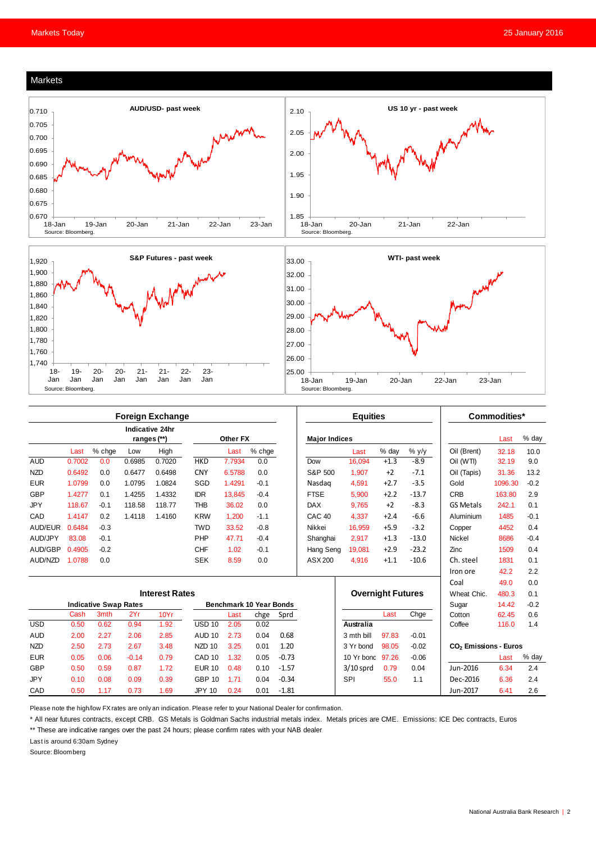#### Markets







|            |                              |        |             | <b>Foreign Exchange</b> |                                |          |        |         |                      | <b>Equities</b>          |        |         |                                   | Commodities* |        |
|------------|------------------------------|--------|-------------|-------------------------|--------------------------------|----------|--------|---------|----------------------|--------------------------|--------|---------|-----------------------------------|--------------|--------|
|            |                              |        | ranges (**) | Indicative 24hr         |                                | Other FX |        |         | <b>Major Indices</b> |                          |        |         |                                   | Last         | % day  |
|            | Last                         | % chge | Low         | High                    |                                | Last     | % chge |         |                      | Last                     | % day  | $%$ y/y | Oil (Brent)                       | 32.18        | 10.0   |
| <b>AUD</b> | 0.7002                       | 0.0    | 0.6985      | 0.7020                  | <b>HKD</b>                     | 7.7934   | 0.0    |         | Dow                  | 16.094                   | $+1.3$ | $-8.9$  | Oil (WTI)                         | 32.19        | 9.0    |
| <b>NZD</b> | 0.6492                       | 0.0    | 0.6477      | 0.6498                  | <b>CNY</b>                     | 6.5788   | 0.0    |         | S&P 500              | 1.907                    | $+2$   | $-7.1$  | Oil (Tapis)                       | 31.36        | 13.2   |
| <b>EUR</b> | 1.0799                       | 0.0    | 1.0795      | 1.0824                  | SGD                            | 1.4291   | $-0.1$ |         | Nasdag               | 4.591                    | $+2.7$ | $-3.5$  | Gold                              | 1096.30      | $-0.2$ |
| <b>GBP</b> | 1.4277                       | 0.1    | 1.4255      | 1.4332                  | <b>IDR</b>                     | 13.845   | $-0.4$ |         | <b>FTSE</b>          | 5.900                    | $+2.2$ | $-13.7$ | <b>CRB</b>                        | 163.80       | 2.9    |
| <b>JPY</b> | 118.67                       | $-0.1$ | 118.58      | 118.77                  | <b>THB</b>                     | 36.02    | 0.0    |         | <b>DAX</b>           | 9.765                    | $+2$   | $-8.3$  | <b>GS Metals</b>                  | 242.1        | 0.1    |
| CAD        | 1.4147                       | 0.2    | 1.4118      | 1.4160                  | <b>KRW</b>                     | 1.200    | $-1.1$ |         | CAC <sub>40</sub>    | 4.337                    | $+2.4$ | $-6.6$  | Aluminium                         | 1485         | $-0.1$ |
| AUD/EUR    | 0.6484                       | $-0.3$ |             |                         | <b>TWD</b>                     | 33.52    | $-0.8$ |         | Nikkei               | 16.959                   | $+5.9$ | $-3.2$  | Copper                            | 4452         | 0.4    |
| AUD/JPY    | 83.08                        | $-0.1$ |             |                         | PHP                            | 47.71    | $-0.4$ |         | Shanghai             | 2,917                    | $+1.3$ | $-13.0$ | <b>Nickel</b>                     | 8686         | $-0.4$ |
| AUD/GBP    | 0.4905                       | $-0.2$ |             |                         | <b>CHF</b>                     | 1.02     | $-0.1$ |         | Hang Seng            | 19.081                   | $+2.9$ | $-23.2$ | Zinc                              | 1509         | 0.4    |
| AUD/NZD    | 1.0788                       | 0.0    |             |                         | <b>SEK</b>                     | 8.59     | 0.0    |         | ASX 200              | 4,916                    | $+1.1$ | $-10.6$ | Ch. steel                         | 1831         | 0.1    |
|            |                              |        |             |                         |                                |          |        |         |                      |                          |        |         | Iron ore                          | 42.2         | 2.2    |
|            |                              |        |             |                         |                                |          |        |         |                      |                          |        |         | Coal                              | 49.0         | 0.0    |
|            | <b>Interest Rates</b>        |        |             |                         |                                |          |        |         |                      | <b>Overnight Futures</b> |        |         | Wheat Chic.                       | 480.3        | 0.1    |
|            | <b>Indicative Swap Rates</b> |        |             |                         | <b>Benchmark 10 Year Bonds</b> |          |        |         |                      |                          |        | Sugar   | 14.42                             | $-0.2$       |        |
|            | Cash                         | 3mth   | 2Yr         | 10Yr                    |                                | Last     | chge   | Sprd    |                      |                          | Last   | Chge    | Cotton                            | 62.45        | 0.6    |
| <b>USD</b> | 0.50                         | 0.62   | 0.94        | 1.92                    | <b>USD 10</b>                  | 2.05     | 0.02   |         |                      | Australia                |        |         | Coffee                            | 116.0        | 1.4    |
| <b>AUD</b> | 2.00                         | 2.27   | 2.06        | 2.85                    | <b>AUD 10</b>                  | 2.73     | 0.04   | 0.68    |                      | 3 mth bill               | 97.83  | $-0.01$ |                                   |              |        |
| <b>NZD</b> | 2.50                         | 2.73   | 2.67        | 3.48                    | <b>NZD 10</b>                  | 3.25     | 0.01   | 1.20    |                      | 3 Yr bond                | 98.05  | $-0.02$ | CO <sub>2</sub> Emissions - Euros |              |        |
| <b>EUR</b> | 0.05                         | 0.06   | $-0.14$     | 0.79                    | CAD <sub>10</sub>              | 1.32     | 0.05   | $-0.73$ |                      | 10 Yr bond               | 97.26  | $-0.06$ |                                   | Last         | % day  |
| <b>GBP</b> | 0.50                         | 0.59   | 0.87        | 1.72                    | <b>EUR 10</b>                  | 0.48     | 0.10   | $-1.57$ |                      | $3/10$ sprd              | 0.79   | 0.04    | Jun-2016                          | 6.34         | 2.4    |
| <b>JPY</b> | 0.10                         | 0.08   | 0.09        | 0.39                    | <b>GBP 10</b>                  | 1.71     | 0.04   | $-0.34$ |                      | <b>SPI</b>               | 55.0   | 1.1     | Dec-2016                          | 6.36         | 2.4    |
| CAD        | 0.50                         | 1.17   | 0.73        | 1.69                    | <b>JPY 10</b>                  | 0.24     | 0.01   | $-1.81$ |                      |                          |        |         | Jun-2017                          | 6.41         | 2.6    |

Please note the high/low FX rates are only an indication. Please refer to your National Dealer for confirmation.

\* All near futures contracts, except CRB. GS Metals is Goldman Sachs industrial metals index. Metals prices are CME. Emissions: ICE Dec contracts, Euros

\*\* These are indicative ranges over the past 24 hours; please confirm rates with your NAB dealer

Last is around 6:30am Sydney

Source: Bloomberg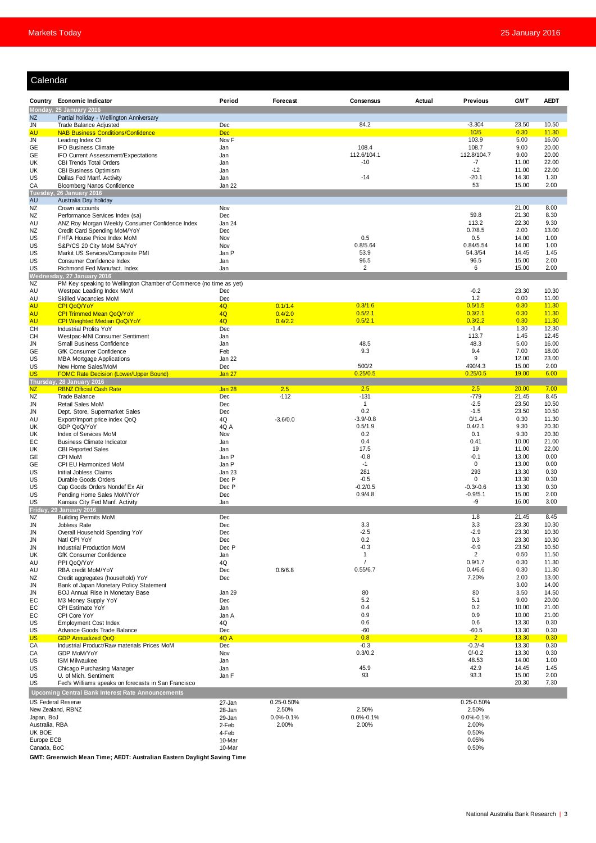| Calendar                  |                                                                                                 |                  |                 |                      |        |                      |                |                |
|---------------------------|-------------------------------------------------------------------------------------------------|------------------|-----------------|----------------------|--------|----------------------|----------------|----------------|
|                           | Country Economic Indicator                                                                      | Period           | Forecast        | Consensus            | Actual | <b>Previous</b>      | <b>GMT</b>     | <b>AEDT</b>    |
|                           | Monday, 25 January 2016                                                                         |                  |                 |                      |        |                      |                |                |
| <b>NZ</b>                 | Partial holiday - Wellington Anniversary                                                        |                  |                 |                      |        |                      |                |                |
| <b>JN</b>                 | Trade Balance Adjusted                                                                          | Dec              |                 | 84.2                 |        | $-3.304$             | 23.50          | 10.50          |
| <b>AU</b>                 | <b>NAB Business Conditions/Confidence</b>                                                       | <b>Dec</b>       |                 |                      |        | 10/5                 | 0.30           | 11.30          |
| <b>JN</b>                 | Leading Index CI                                                                                | Nov <sub>F</sub> |                 |                      |        | 103.9                | 5.00           | 16.00          |
| GE                        | <b>IFO Business Climate</b>                                                                     | Jan              |                 | 108.4<br>112.6/104.1 |        | 108.7<br>112.8/104.7 | 9.00<br>9.00   | 20.00<br>20.00 |
| GE<br>UK                  | IFO Current Assessment/Expectations<br><b>CBI Trends Total Orders</b>                           | Jan<br>Jan       |                 | $-10$                |        | $-7$                 | 11.00          | 22.00          |
| UK                        | <b>CBI Business Optimism</b>                                                                    | Jan              |                 |                      |        | $-12$                | 11.00          | 22.00          |
| <b>US</b>                 | Dallas Fed Manf. Activity                                                                       | Jan              |                 | $-14$                |        | $-20.1$              | 14.30          | 1.30           |
| CA                        | <b>Bloomberg Nanos Confidence</b>                                                               | Jan 22           |                 |                      |        | 53                   | 15.00          | 2.00           |
| <b>Tuesda</b>             | <b>26 January 2016</b>                                                                          |                  |                 |                      |        |                      |                |                |
| AU                        | Australia Day holiday                                                                           |                  |                 |                      |        |                      |                |                |
| NZ                        | Crown accounts                                                                                  | Nov              |                 |                      |        | 59.8                 | 21.00<br>21.30 | 8.00<br>8.30   |
| NZ<br>AU                  | Performance Services Index (sa)<br>ANZ Roy Morgan Weekly Consumer Confidence Index              | Dec<br>Jan 24    |                 |                      |        | 113.2                | 22.30          | 9.30           |
| NZ                        | Credit Card Spending MoM/YoY                                                                    | Dec              |                 |                      |        | 0.7/8.5              | 2.00           | 13.00          |
| <b>US</b>                 | FHFA House Price Index MoM                                                                      | Nov              |                 | 0.5                  |        | 0.5                  | 14.00          | 1.00           |
| US                        | S&P/CS 20 City MoM SA/YoY                                                                       | Nov              |                 | 0.8/5.64             |        | 0.84/5.54            | 14.00          | 1.00           |
| US                        | Markit US Services/Composite PMI                                                                | Jan P            |                 | 53.9                 |        | 54.3/54              | 14.45          | 1.45           |
| US.                       | Consumer Confidence Index                                                                       | Jan              |                 | 96.5                 |        | 96.5                 | 15.00          | 2.00           |
| <b>US</b>                 | Richmond Fed Manufact. Index                                                                    | Jan              |                 | 2                    |        | 6                    | 15.00          | 2.00           |
|                           | Wednesday, 27 January 2016                                                                      |                  |                 |                      |        |                      |                |                |
| NZ<br>AU                  | PM Key speaking to Wellington Chamber of Commerce (no time as yet)<br>Westpac Leading Index MoM | Dec              |                 |                      |        | $-0.2$               | 23.30          | 10.30          |
| AU                        | Skilled Vacancies MoM                                                                           | Dec              |                 |                      |        | 1.2                  | 0.00           | 11.00          |
| <b>AU</b>                 | <b>CPI QoQ/YoY</b>                                                                              | 4Q               | 0.1/1.4         | 0.3/1.6              |        | 0.5/1.5              | 0.30           | 11.30          |
| <b>AU</b>                 | <b>CPI Trimmed Mean QoQ/YoY</b>                                                                 | 4Q               | 0.4/2.0         | 0.5/2.1              |        | 0.3/2.1              | 0.30           | 11.30          |
| <b>AU</b>                 | CPI Weighted Median QoQ/YoY                                                                     | 4Q               | 0.4/2.2         | 0.5/2.1              |        | 0.3/2.2              | 0.30           | 11.30          |
| <b>CH</b>                 | Industrial Profits YoY                                                                          | Dec              |                 |                      |        | $-1.4$               | 1.30           | 12.30          |
| CН                        | Westpac-MNI Consumer Sentiment                                                                  | Jan              |                 |                      |        | 113.7                | 1.45           | 12.45          |
| JN                        | Small Business Confidence                                                                       | Jan              |                 | 48.5                 |        | 48.3                 | 5.00           | 16.00          |
| GE                        | <b>GfK Consumer Confidence</b>                                                                  | Feb<br>Jan 22    |                 | 9.3                  |        | 9.4<br>9             | 7.00<br>12.00  | 18.00<br>23.00 |
| US<br>US                  | <b>MBA Mortgage Applications</b><br>New Home Sales/MoM                                          | Dec              |                 | 500/2                |        | 490/4.3              | 15.00          | 2.00           |
| US.                       | <b>FOMC Rate Decision (Lower/Upper Bound)</b>                                                   | Jan 27           |                 | 0.25/0.5             |        | 0.25/0.5             | 19.00          | 6.00           |
|                           | Thursday, 28 January 2016                                                                       |                  |                 |                      |        |                      |                |                |
| NZ                        | <b>RBNZ Official Cash Rate</b>                                                                  | Jan 28           | 2.5             | 2.5                  |        | 2.5                  | 20.00          | 7.00           |
| <b>NZ</b>                 | <b>Trade Balance</b>                                                                            | Dec              | $-112$          | $-131$               |        | $-779$               | 21.45          | 8.45           |
| <b>JN</b>                 | Retail Sales MoM                                                                                | Dec              |                 | $\mathbf{1}$         |        | $-2.5$               | 23.50          | 10.50          |
| JN<br>AU                  | Dept. Store, Supermarket Sales<br>Export/Import price index QoQ                                 | Dec<br>4Q        | $-3.6/0.0$      | 0.2<br>$-3.9/-0.8$   |        | $-1.5$<br>0/1.4      | 23.50<br>0.30  | 10.50<br>11.30 |
| UK                        | GDP QoQ/YoY                                                                                     | 4Q A             |                 | 0.5/1.9              |        | 0.4/2.1              | 9.30           | 20.30          |
| UK                        | Index of Services MoM                                                                           | Nov              |                 | 0.2                  |        | 0.1                  | 9.30           | 20.30          |
| EC                        | <b>Business Climate Indicator</b>                                                               | Jan              |                 | 0.4                  |        | 0.41                 | 10.00          | 21.00          |
| UK                        | <b>CBI Reported Sales</b>                                                                       | Jan              |                 | 17.5                 |        | 19                   | 11.00          | 22.00          |
| GE                        | CPI MoM                                                                                         | Jan P            |                 | $-0.8$               |        | $-0.1$               | 13.00          | 0.00           |
| GE                        | CPI EU Harmonized MoM                                                                           | Jan P            |                 | $-1$                 |        | $\mathbf 0$          | 13.00          | 0.00           |
| <b>US</b>                 | Initial Jobless Claims                                                                          | Jan 23           |                 | 281                  |        | 293<br>$\Omega$      | 13.30          | 0.30           |
| US<br><b>US</b>           | Durable Goods Orders<br>Cap Goods Orders Nondef Ex Air                                          | Dec P<br>Dec P   |                 | $-0.5$<br>$-0.2/0.5$ |        | $-0.3/-0.6$          | 13.30<br>13.30 | 0.30<br>0.30   |
| US                        | Pending Home Sales MoM/YoY                                                                      | Dec              |                 | 0.9/4.8              |        | $-0.9/5.1$           | 15.00          | 2.00           |
| <b>US</b>                 | Kansas City Fed Manf. Activity                                                                  | Jan              |                 |                      |        | -9                   | 16.00          | 3.00           |
|                           | Friday, 29 January 2016                                                                         |                  |                 |                      |        |                      |                |                |
| NZ                        | <b>Building Permits MoM</b>                                                                     | Dec              |                 |                      |        | 1.8                  | 21.45          | 8.45           |
| JN                        | Jobless Rate                                                                                    | Dec              |                 | 3.3                  |        | 3.3                  | 23.30          | 10.30          |
| JN                        | Overall Household Spending YoY                                                                  | Dec              |                 | $-2.5$<br>0.2        |        | $-2.9$<br>0.3        | 23.30<br>23.30 | 10.30<br>10.30 |
| JN<br>JN                  | Natl CPI YoY<br>Industrial Production MoM                                                       | Dec<br>Dec P     |                 | $-0.3$               |        | $-0.9$               | 23.50          | 10.50          |
| UK                        | <b>GfK Consumer Confidence</b>                                                                  | Jan              |                 | $\mathbf{1}$         |        | 2                    | 0.50           | 11.50          |
| AU                        | PPI QoQ/YoY                                                                                     | 4Q               |                 |                      |        | 0.9/1.7              | 0.30           | 11.30          |
| AU                        | RBA credit MoM/YoY                                                                              | Dec              | 0.6/6.8         | 0.55/6.7             |        | 0.4/6.6              | 0.30           | 11.30          |
| NZ                        | Credit aggregates (household) YoY                                                               | Dec              |                 |                      |        | 7.20%                | 2.00           | 13.00          |
| JN                        | Bank of Japan Monetary Policy Statement                                                         |                  |                 |                      |        |                      | 3.00           | 14.00          |
| JN                        | BOJ Annual Rise in Monetary Base                                                                | Jan 29           |                 | 80                   |        | 80                   | 3.50           | 14.50          |
| EC                        | M3 Money Supply YoY                                                                             | Dec              |                 | 5.2<br>0.4           |        | 5.1<br>0.2           | 9.00<br>10.00  | 20.00<br>21.00 |
| EC<br>EC                  | CPI Estimate YoY<br>CPI Core YoY                                                                | Jan<br>Jan A     |                 | 0.9                  |        | 0.9                  | 10.00          | 21.00          |
| US                        | <b>Employment Cost Index</b>                                                                    | 4Q               |                 | 0.6                  |        | 0.6                  | 13.30          | 0.30           |
| US                        | Advance Goods Trade Balance                                                                     | Dec              |                 | $-60$                |        | $-60.5$              | 13.30          | 0.30           |
| <b>US</b>                 | <b>GDP Annualized QoQ</b>                                                                       | 4Q A             |                 | 0.8                  |        | 2 <sup>7</sup>       | 13.30          | 0.30           |
| CA                        | Industrial Product/Raw materials Prices MoM                                                     | Dec              |                 | $-0.3$               |        | $-0.2/-4$            | 13.30          | 0.30           |
| CA                        | GDP MoM/YoY                                                                                     | Nov              |                 | 0.3/0.2              |        | $0/-0.2$             | 13.30          | 0.30           |
| <b>US</b>                 | <b>ISM Milwaukee</b>                                                                            | Jan              |                 | 45.9                 |        | 48.53                | 14.00          | 1.00           |
| US<br><b>US</b>           | Chicago Purchasing Manager<br>U. of Mich. Sentiment                                             | Jan<br>Jan F     |                 | 93                   |        | 42.9<br>93.3         | 14.45<br>15.00 | 1.45<br>2.00   |
| <b>US</b>                 | Fed's Williams speaks on forecasts in San Francisco                                             |                  |                 |                      |        |                      | 20.30          | 7.30           |
|                           | <b>Upcoming Central Bank Interest Rate Announcements</b>                                        |                  |                 |                      |        |                      |                |                |
| <b>US Federal Reserve</b> |                                                                                                 |                  | $0.25 - 0.50%$  |                      |        | 0.25-0.50%           |                |                |
|                           | New Zealand, RBNZ                                                                               | 27-Jan<br>28-Jan | 2.50%           | 2.50%                |        | 2.50%                |                |                |
| Japan, BoJ                |                                                                                                 | 29-Jan           | $0.0\% - 0.1\%$ | $0.0\% - 0.1\%$      |        | $0.0\% - 0.1\%$      |                |                |
| Australia, RBA            |                                                                                                 | 2-Feb            | 2.00%           | 2.00%                |        | 2.00%                |                |                |
| UK BOE                    |                                                                                                 | 4-Feb            |                 |                      |        | 0.50%                |                |                |
| Europe ECB                |                                                                                                 | 10-Mar           |                 |                      |        | 0.05%                |                |                |
| Canada, BoC               |                                                                                                 | 10-Mar           |                 |                      |        | 0.50%                |                |                |

**GMT: Greenwich Mean Time; AEDT: Australian Eastern Daylight Saving Time**